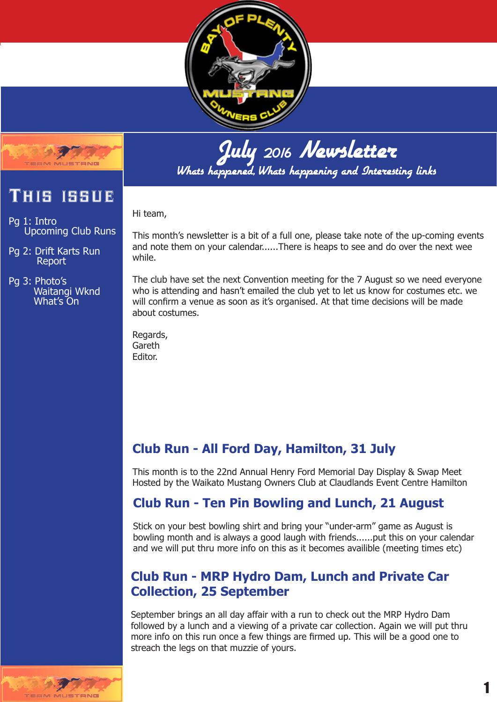



# This issue

Pg 1: Intro Upcoming Club Runs

Pg 2: Drift Karts Run Report

Pg 3: Photo's Waitangi Wknd What's On

July 2016 Newsletter Whats happened, Whats happening and Interesting links

Hi team,

This month's newsletter is a bit of a full one, please take note of the up-coming events and note them on your calendar......There is heaps to see and do over the next wee while.

The club have set the next Convention meeting for the 7 August so we need everyone who is attending and hasn't emailed the club yet to let us know for costumes etc. we will confirm a venue as soon as it's organised. At that time decisions will be made about costumes.

Regards, Gareth Editor.

# **Club Run - All Ford Day, Hamilton, 31 July**

This month is to the 22nd Annual Henry Ford Memorial Day Display & Swap Meet Hosted by the Waikato Mustang Owners Club at Claudlands Event Centre Hamilton

# **Club Run - Ten Pin Bowling and Lunch, 21 August**

Stick on your best bowling shirt and bring your "under-arm" game as August is bowling month and is always a good laugh with friends......put this on your calendar and we will put thru more info on this as it becomes availible (meeting times etc)

## **Club Run - MRP Hydro Dam, Lunch and Private Car Collection, 25 September**

September brings an all day affair with a run to check out the MRP Hydro Dam followed by a lunch and a viewing of a private car collection. Again we will put thru more info on this run once a few things are firmed up. This will be a good one to streach the legs on that muzzie of yours.

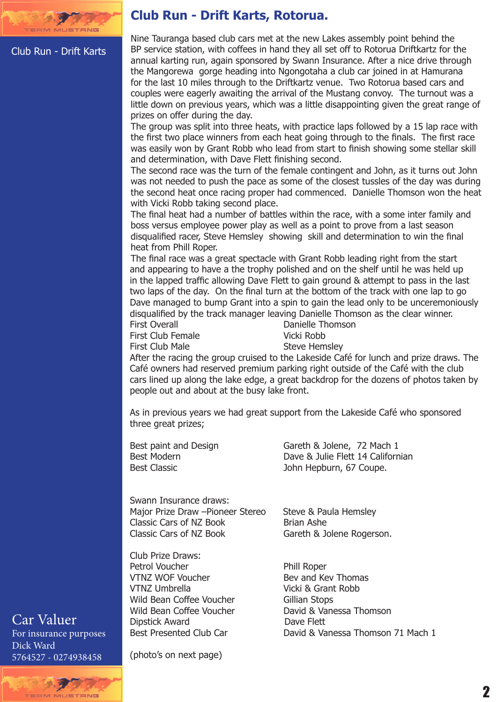

#### Club Run - Drift Karts

#### **Club Run - Drift Karts, Rotorua.**

Nine Tauranga based club cars met at the new Lakes assembly point behind the BP service station, with coffees in hand they all set off to Rotorua Driftkartz for the annual karting run, again sponsored by Swann Insurance. After a nice drive through the Mangorewa gorge heading into Ngongotaha a club car joined in at Hamurana for the last 10 miles through to the Driftkartz venue. Two Rotorua based cars and couples were eagerly awaiting the arrival of the Mustang convoy. The turnout was a little down on previous years, which was a little disappointing given the great range of prizes on offer during the day.

The group was split into three heats, with practice laps followed by a 15 lap race with the first two place winners from each heat going through to the finals. The first race was easily won by Grant Robb who lead from start to finish showing some stellar skill and determination, with Dave Flett finishing second.

The second race was the turn of the female contingent and John, as it turns out John was not needed to push the pace as some of the closest tussles of the day was during the second heat once racing proper had commenced. Danielle Thomson won the heat with Vicki Robb taking second place.

The final heat had a number of battles within the race, with a some inter family and boss versus employee power play as well as a point to prove from a last season disqualified racer, Steve Hemsley showing skill and determination to win the final heat from Phill Roper.

The final race was a great spectacle with Grant Robb leading right from the start and appearing to have a the trophy polished and on the shelf until he was held up in the lapped traffic allowing Dave Flett to gain ground & attempt to pass in the last two laps of the day. On the final turn at the bottom of the track with one lap to go Dave managed to bump Grant into a spin to gain the lead only to be unceremoniously disqualified by the track manager leaving Danielle Thomson as the clear winner. Danielle Thomson

First Club Female Vicki Robb

First Club Male Steve Hemsley

After the racing the group cruised to the Lakeside Café for lunch and prize draws. The Café owners had reserved premium parking right outside of the Café with the club cars lined up along the lake edge, a great backdrop for the dozens of photos taken by people out and about at the busy lake front.

As in previous years we had great support from the Lakeside Café who sponsored three great prizes;

Best paint and Design Gareth & Jolene, 72 Mach 1 Best Modern **Dave & Julie Flett 14 Californian**<br>Best Classic **Dave Best Classic** John Hepburn, 67 Coupe. John Hepburn, 67 Coupe.

Swann Insurance draws: Major Prize Draw –Pioneer Stereo Steve & Paula Hemsley<br>Classic Cars of NZ Book Brian Ashe Classic Cars of NZ Book<br>Classic Cars of NZ Book

Club Prize Draws: Petrol Voucher<br>
VTNZ WOF Voucher<br>
VTNZ WOF Voucher<br>
Phill Roper and Key Thomas VTNZ WOF Voucher<br>VTNZ Umbrella Wild Bean Coffee Voucher Dipstick Award<br>Best Presented Club Car

Gareth & Jolene Rogerson.

Vicki & Grant Robb<br>Gillian Stops Wild Bean Coffee Voucher<br>
David & Vanessa Thomson<br>
Dave Flett David & Vanessa Thomson 71 Mach 1

Car Valuer For insurance purposes Dick Ward 5764527 - 0274938458

(photo's on next page)